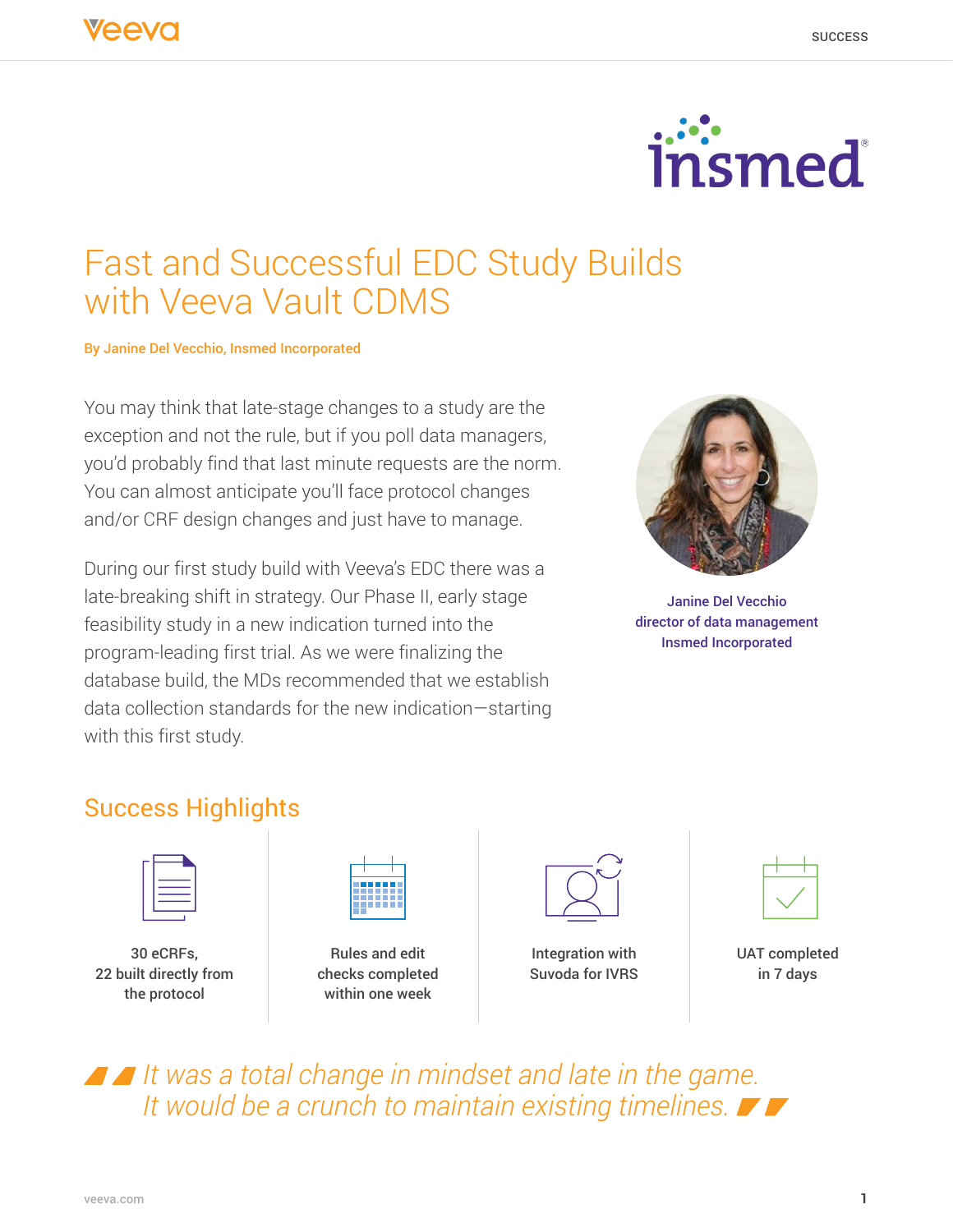

# Fast and Successful EDC Study Builds with Veeva Vault CDMS

By Janine Del Vecchio, Insmed Incorporated

You may think that late-stage changes to a study are the exception and not the rule, but if you poll data managers, you'd probably find that last minute requests are the norm. You can almost anticipate you'll face protocol changes and/or CRF design changes and just have to manage.

During our first study build with Veeva's EDC there was a late-breaking shift in strategy. Our Phase II, early stage feasibility study in a new indication turned into the program-leading first trial. As we were finalizing the database build, the MDs recommended that we establish data collection standards for the new indication—starting with this first study.



Janine Del Vecchio director of data management Insmed Incorporated

### Success Highlights

30 eCRFs, 22 built directly from the protocol



Rules and edit checks completed within one week



Integration with Suvoda for IVRS



UAT completed in 7 days

*It was a total change in mindset and late in the game. It would be a crunch to maintain existing timelines.*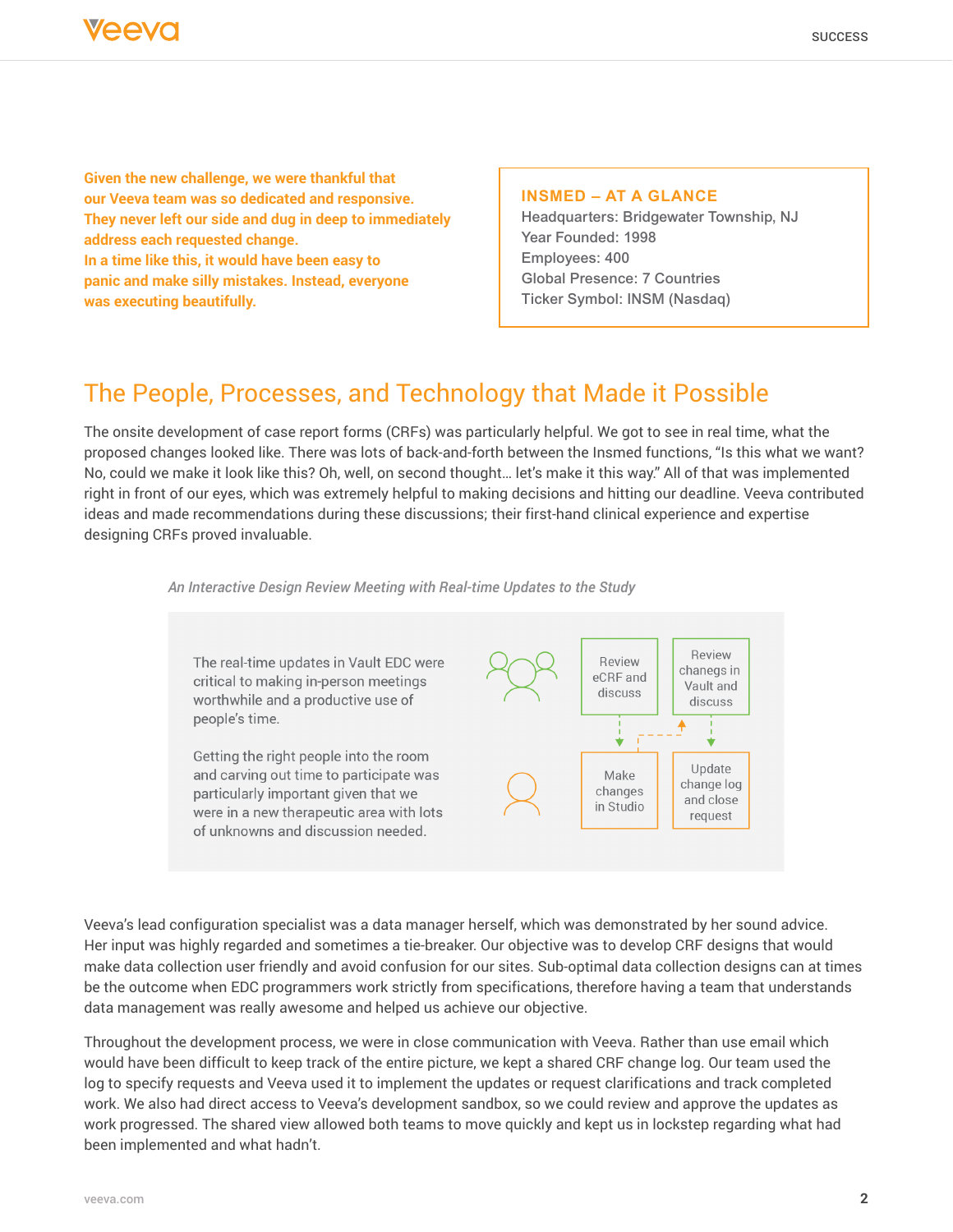

**Given the new challenge, we were thankful that our Veeva team was so dedicated and responsive. They never left our side and dug in deep to immediately address each requested change. In a time like this, it would have been easy to panic and make silly mistakes. Instead, everyone was executing beautifully.**

#### **INSMED – AT A GLANCE**

Headquarters: Bridgewater Township, NJ Year Founded: 1998 Employees: 400 Global Presence: 7 Countries Ticker Symbol: INSM (Nasdaq)

### The People, Processes, and Technology that Made it Possible

The onsite development of case report forms (CRFs) was particularly helpful. We got to see in real time, what the proposed changes looked like. There was lots of back-and-forth between the Insmed functions, "Is this what we want? No, could we make it look like this? Oh, well, on second thought… let's make it this way." All of that was implemented right in front of our eyes, which was extremely helpful to making decisions and hitting our deadline. Veeva contributed ideas and made recommendations during these discussions; their first-hand clinical experience and expertise designing CRFs proved invaluable.

*An Interactive Design Review Meeting with Real-time Updates to the Study*



Veeva's lead configuration specialist was a data manager herself, which was demonstrated by her sound advice. Her input was highly regarded and sometimes a tie-breaker. Our objective was to develop CRF designs that would make data collection user friendly and avoid confusion for our sites. Sub-optimal data collection designs can at times be the outcome when EDC programmers work strictly from specifications, therefore having a team that understands data management was really awesome and helped us achieve our objective.

Throughout the development process, we were in close communication with Veeva. Rather than use email which would have been difficult to keep track of the entire picture, we kept a shared CRF change log. Our team used the log to specify requests and Veeva used it to implement the updates or request clarifications and track completed work. We also had direct access to Veeva's development sandbox, so we could review and approve the updates as work progressed. The shared view allowed both teams to move quickly and kept us in lockstep regarding what had been implemented and what hadn't.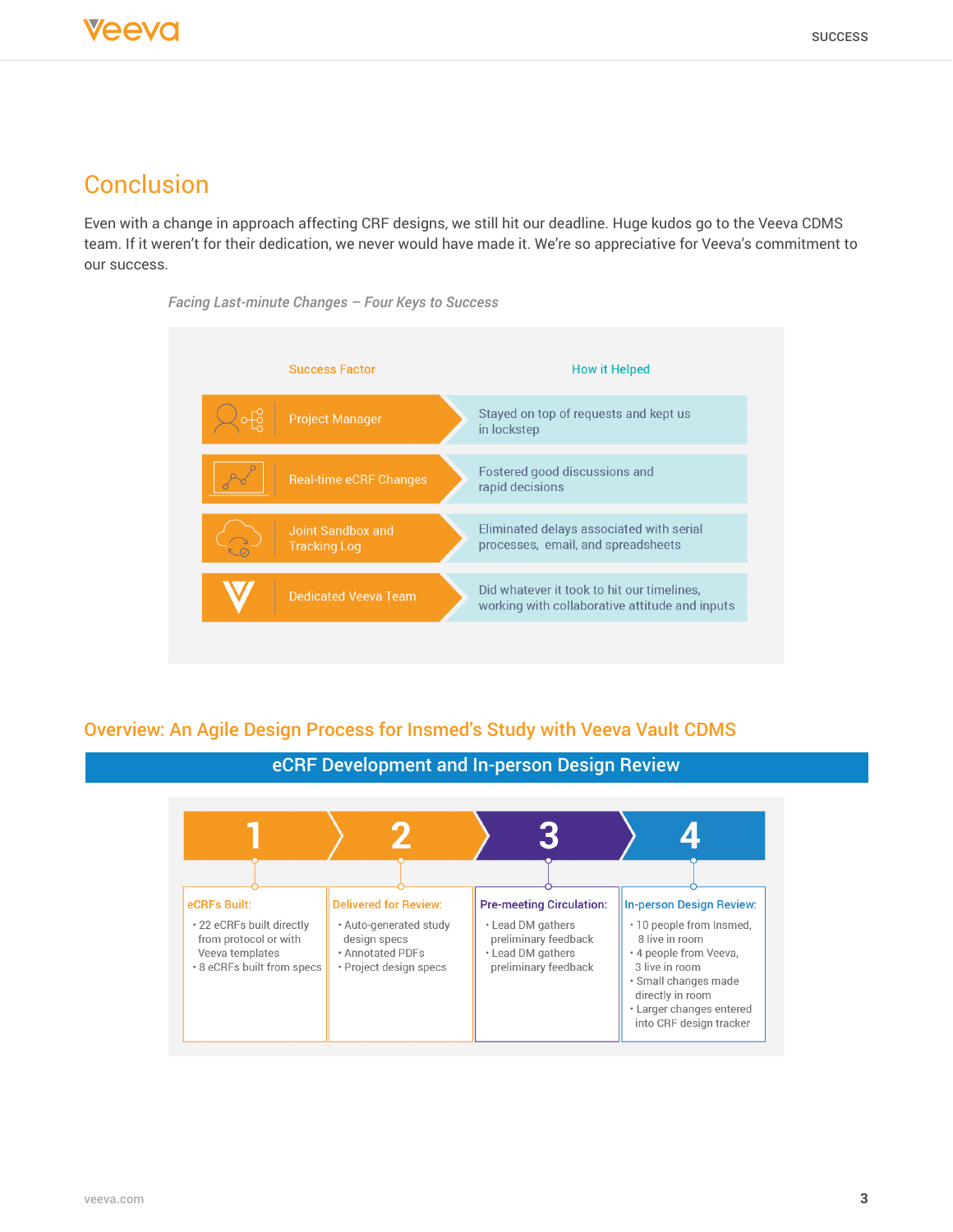## **Conclusion**

Even with a change in approach affecting CRF designs, we still hit our deadline. Huge kudos go to the Veeva CDMS team. If it weren't for their dedication, we never would have made it. We're so appreciative for Veeva's commitment to our success.





### Overview: An Agile Design Process for Insmed's Study with Veeva Vault CDMS